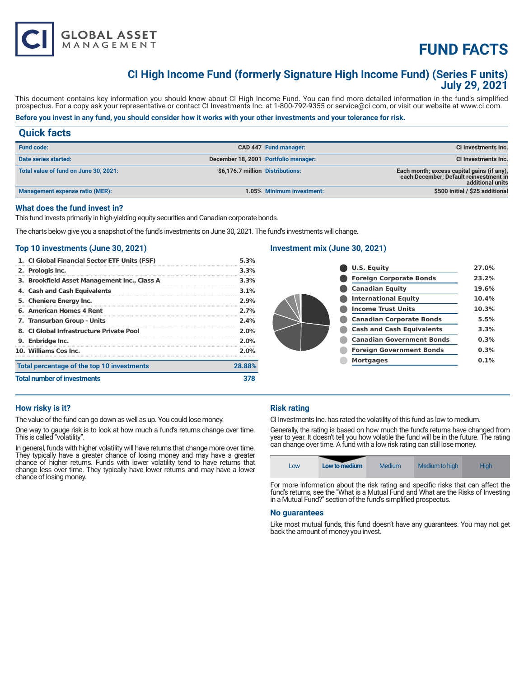# **FUND FACTS**

# **CI High Income Fund (formerly Signature High Income Fund) (Series F units) July 29, 2021**

This document contains key information you should know about CI High Income Fund. You can find more detailed information in the fund's simplified prospectus. For a copy ask your representative or contact CI Investments Inc. at 1-800-792-9355 or service@ci.com, or visit our website at www.ci.com.

# **Before you invest in any fund, you should consider how it works with your other investments and your tolerance for risk.**

# **Quick facts**

**GLOBAL ASSET**<br>MANAGEMENT

| <b>Fund code:</b>                      |                                      | CAD 447 Fund manager:     | <b>CI Investments Inc.</b>                                                                               |
|----------------------------------------|--------------------------------------|---------------------------|----------------------------------------------------------------------------------------------------------|
| Date series started:                   | December 18, 2001 Portfolio manager: |                           | <b>CI Investments Inc.</b>                                                                               |
| Total value of fund on June 30, 2021:  | \$6,176.7 million Distributions:     |                           | Each month; excess capital gains (if any),<br>each December; Default reinvestment in<br>additional units |
| <b>Management expense ratio (MER):</b> |                                      | 1.05% Minimum investment: | \$500 initial / \$25 additional                                                                          |

# **What does the fund invest in?**

This fund invests primarily in high-yielding equity securities and Canadian corporate bonds.

The charts below give you a snapshot of the fund's investments on June 30, 2021. The fund's investments will change.

# **Top 10 investments (June 30, 2021)**

| Total percentage of the top 10 investments<br><b>Total number of investments</b> |                                               | 378    |
|----------------------------------------------------------------------------------|-----------------------------------------------|--------|
|                                                                                  |                                               | 28.88% |
|                                                                                  | 10. Williams Cos Inc.                         | 2.0%   |
|                                                                                  | 9. Enbridge Inc.                              | 2.0%   |
|                                                                                  | 8. CI Global Infrastructure Private Pool      | 2.0%   |
|                                                                                  | 7. Transurban Group - Units                   | 2.4%   |
|                                                                                  | 6. American Homes 4 Rent                      | 2.7%   |
|                                                                                  | 5. Cheniere Energy Inc.                       | 2.9%   |
|                                                                                  | 4. Cash and Cash Equivalents                  | 3.1%   |
|                                                                                  | 3. Brookfield Asset Management Inc., Class A  | 3.3%   |
|                                                                                  | 2. Prologis Inc.                              | 3.3%   |
|                                                                                  | 1. CI Global Financial Sector ETF Units (FSF) | 5.3%   |

# **Investment mix (June 30, 2021)**

|  | <b>U.S. Equity</b>               | 27.0% |
|--|----------------------------------|-------|
|  | <b>Foreign Corporate Bonds</b>   | 23.2% |
|  | <b>Canadian Equity</b>           | 19.6% |
|  | <b>International Equity</b>      | 10.4% |
|  | <b>Income Trust Units</b>        | 10.3% |
|  | <b>Canadian Corporate Bonds</b>  | 5.5%  |
|  | <b>Cash and Cash Equivalents</b> | 3.3%  |
|  | <b>Canadian Government Bonds</b> | 0.3%  |
|  | <b>Foreign Government Bonds</b>  | 0.3%  |
|  | <b>Mortgages</b>                 | 0.1%  |
|  |                                  |       |

# **How risky is it?**

The value of the fund can go down as well as up. You could lose money.

One way to gauge risk is to look at how much a fund's returns change over time. This is called "volatility".

In general, funds with higher volatility will have returns that change more over time. They typically have a greater chance of losing money and may have a greater chance of higher returns. Funds with lower volatility tend to have returns that change less over time. They typically have lower returns and may have a lower chance of losing money.

# **Risk rating**

CI Investments Inc. has rated the volatility of this fund as low to medium.

Generally, the rating is based on how much the fund's returns have changed from year to year. It doesn't tell you how volatile the fund will be in the future. The rating can change over time. A fund with a low risk rating can still lose money.



For more information about the risk rating and specific risks that can affect the fund's returns, see the "What is a Mutual Fund and What are the Risks of Investing in a Mutual Fund?" section of the fund's simplified prospectus.

#### **No guarantees**

Like most mutual funds, this fund doesn't have any guarantees. You may not get back the amount of money you invest.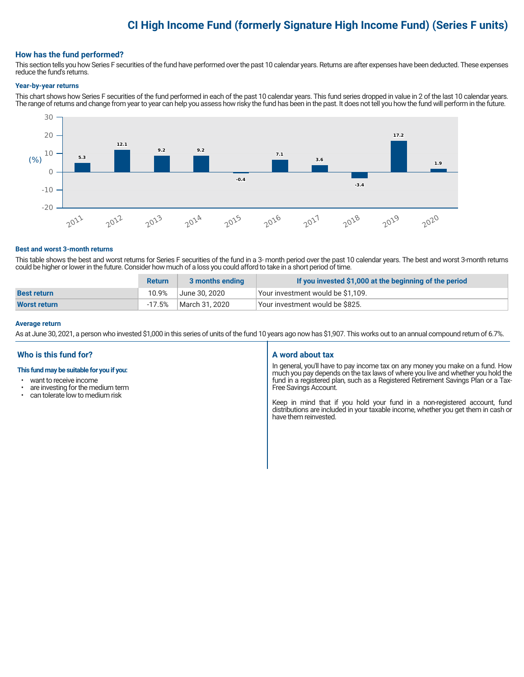# **CI High Income Fund (formerly Signature High Income Fund) (Series F units)**

## **How has the fund performed?**

This section tells you how Series F securities of the fund have performed over the past 10 calendar years. Returns are after expenses have been deducted. These expenses reduce the fund's returns.

#### **Year-by-year returns**

This chart shows how Series F securities of the fund performed in each of the past 10 calendar years. This fund series dropped in value in 2 of the last 10 calendar years. The range of returns and change from year to year can help you assess how risky the fund has been in the past. It does not tell you how the fund will perform in the future.



#### **Best and worst 3-month returns**

This table shows the best and worst returns for Series F securities of the fund in a 3- month period over the past 10 calendar years. The best and worst 3-month returns could be higher or lower in the future. Consider how much of a loss you could afford to take in a short period of time.

|                     | <b>Return</b> | 3 months ending | If you invested \$1,000 at the beginning of the period |
|---------------------|---------------|-----------------|--------------------------------------------------------|
| <b>Best return</b>  | 10.9%         | June 30. 2020   | Your investment would be \$1,109.                      |
| <b>Worst return</b> | -17.5%        | March 31, 2020  | Vour investment would be \$825.                        |

#### **Average return**

As at June 30, 2021, a person who invested \$1,000 in this series of units of the fund 10 years ago now has \$1,907. This works out to an annual compound return of 6.7%.

# **Who is this fund for?**

#### **This fund may be suitable for you if you:**

- want to receive income
- are investing for the medium term<br>• can telerate low to medium risk
- can tolerate low to medium risk

### **A word about tax**

In general, you'll have to pay income tax on any money you make on a fund. How much you pay depends on the tax laws of where you live and whether you hold the fund in a registered plan, such as a Registered Retirement Savings Plan or a Tax-Free Savings Account.

Keep in mind that if you hold your fund in a non-registered account, fund distributions are included in your taxable income, whether you get them in cash or have them reinvested.